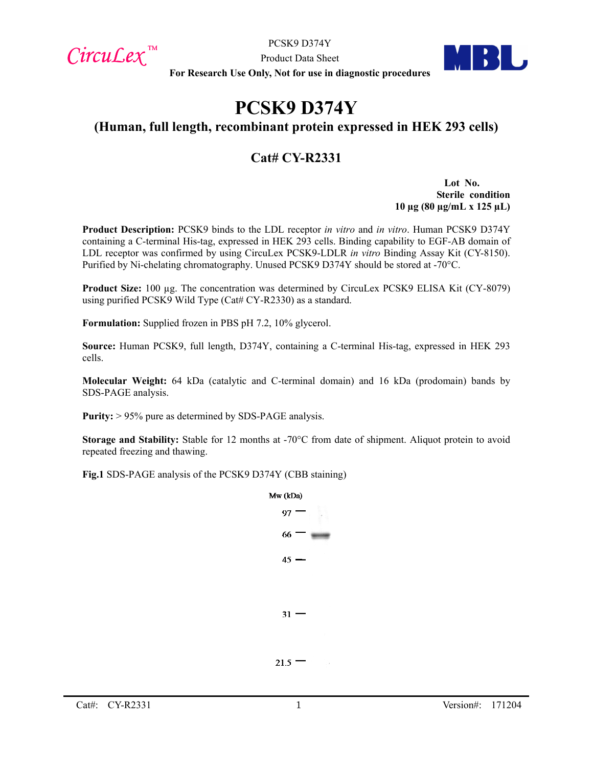$Circu$ *Lex*™

PCSK9 D374Y

Product Data Sheet **For Research Use Only, Not for use in diagnostic procedures**

# **PCSK9 D374Y**

## **(Human, full length, recombinant protein expressed in HEK 293 cells)**

## **Cat# CY-R2331**

**Lot No. Sterile condition 10 µg (80 µg/mL x 125 µL)**

**Product Description:** PCSK9 binds to the LDL receptor *in vitro* and *in vitro*. Human PCSK9 D374Y containing a C-terminal His-tag, expressed in HEK 293 cells. Binding capability to EGF-AB domain of LDL receptor was confirmed by using CircuLex PCSK9-LDLR *in vitro* Binding Assay Kit (CY-8150). Purified by Ni-chelating chromatography. Unused PCSK9 D374Y should be stored at -70°C.

Product Size: 100 µg. The concentration was determined by CircuLex PCSK9 ELISA Kit (CY-8079) using purified PCSK9 Wild Type (Cat# CY-R2330) as a standard.

**Formulation:** Supplied frozen in PBS pH 7.2, 10% glycerol.

**Source:** Human PCSK9, full length, D374Y, containing a C-terminal His-tag, expressed in HEK 293 cells.

**Molecular Weight:** 64 kDa (catalytic and C-terminal domain) and 16 kDa (prodomain) bands by SDS-PAGE analysis.

**Purity:** > 95% pure as determined by SDS-PAGE analysis.

**Storage and Stability:** Stable for 12 months at -70°C from date of shipment. Aliquot protein to avoid repeated freezing and thawing.

**Fig.1** SDS-PAGE analysis of the PCSK9 D374Y (CBB staining)

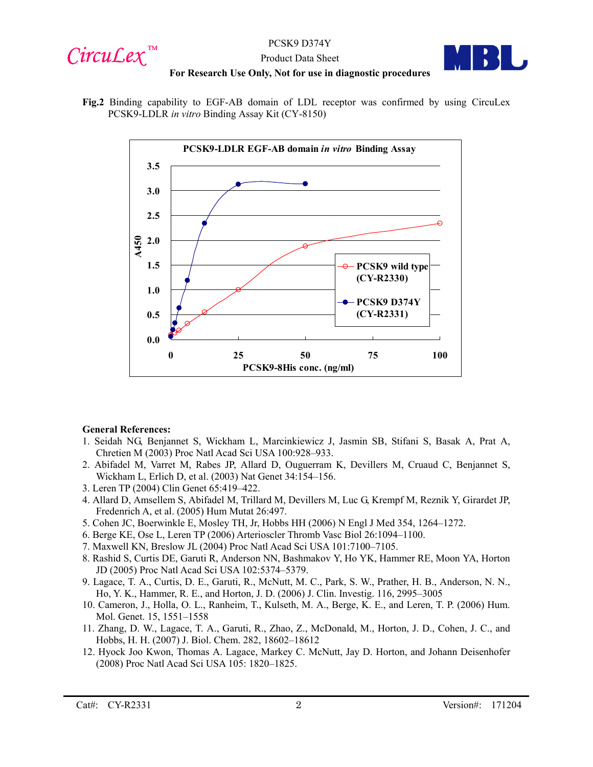



#### Product Data Sheet **For Research Use Only, Not for use in diagnostic procedures**

**Fig.2** Binding capability to EGF-AB domain of LDL receptor was confirmed by using CircuLex PCSK9-LDLR *in vitro* Binding Assay Kit (CY-8150)



#### **General References:**

- 1. Seidah NG, Benjannet S, Wickham L, Marcinkiewicz J, Jasmin SB, Stifani S, Basak A, Prat A, Chretien M (2003) Proc Natl Acad Sci USA 100:928–933.
- 2. Abifadel M, Varret M, Rabes JP, Allard D, Ouguerram K, Devillers M, Cruaud C, Benjannet S, Wickham L, Erlich D, et al. (2003) Nat Genet 34:154–156.
- 3. Leren TP (2004) Clin Genet 65:419–422.
- 4. Allard D, Amsellem S, Abifadel M, Trillard M, Devillers M, Luc G, Krempf M, Reznik Y, Girardet JP, Fredenrich A, et al. (2005) Hum Mutat 26:497.
- 5. Cohen JC, Boerwinkle E, Mosley TH, Jr, Hobbs HH (2006) N Engl J Med 354, 1264–1272.
- 6. Berge KE, Ose L, Leren TP (2006) Arterioscler Thromb Vasc Biol 26:1094–1100.
- 7. Maxwell KN, Breslow JL (2004) Proc Natl Acad Sci USA 101:7100–7105.
- 8. Rashid S, Curtis DE, Garuti R, Anderson NN, Bashmakov Y, Ho YK, Hammer RE, Moon YA, Horton JD (2005) Proc Natl Acad Sci USA 102:5374–5379.
- 9. Lagace, T. A., Curtis, D. E., Garuti, R., McNutt, M. C., Park, S. W., Prather, H. B., Anderson, N. N., Ho, Y. K., Hammer, R. E., and Horton, J. D. (2006) J. Clin. Investig. 116, 2995–3005
- 10. Cameron, J., Holla, O. L., Ranheim, T., Kulseth, M. A., Berge, K. E., and Leren, T. P. (2006) Hum. Mol. Genet. 15, 1551–1558
- 11. Zhang, D. W., Lagace, T. A., Garuti, R., Zhao, Z., McDonald, M., Horton, J. D., Cohen, J. C., and Hobbs, H. H. (2007) J. Biol. Chem. 282, 18602–18612
- 12. Hyock Joo Kwon, Thomas A. Lagace, Markey C. McNutt, Jay D. Horton, and Johann Deisenhofer (2008) Proc Natl Acad Sci USA 105: 1820–1825.